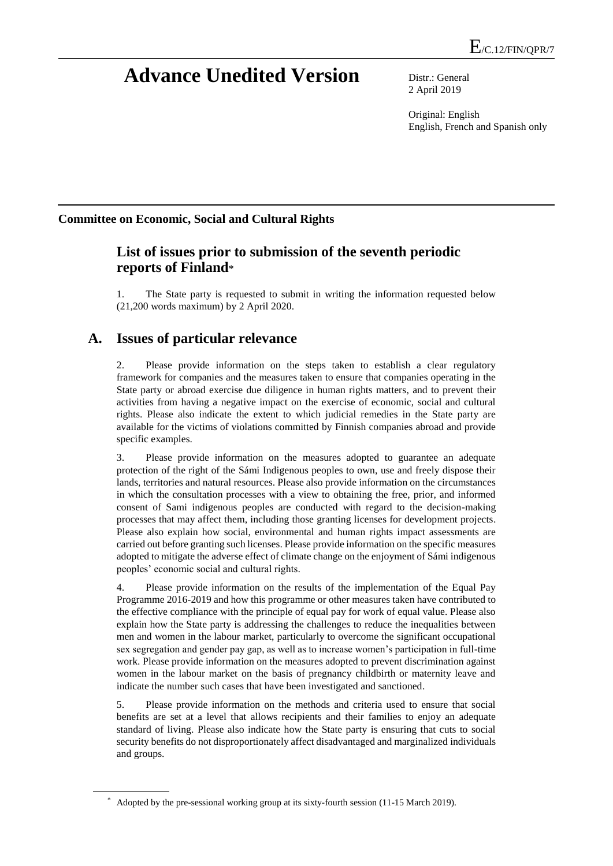# **Advance Unedited Version** Distr.: General

2 April 2019

Original: English English, French and Spanish only

#### **Committee on Economic, Social and Cultural Rights**

#### **List of issues prior to submission of the seventh periodic reports of Finland**\*

The State party is requested to submit in writing the information requested below (21,200 words maximum) by 2 April 2020.

## **A. Issues of particular relevance**

2. Please provide information on the steps taken to establish a clear regulatory framework for companies and the measures taken to ensure that companies operating in the State party or abroad exercise due diligence in human rights matters, and to prevent their activities from having a negative impact on the exercise of economic, social and cultural rights. Please also indicate the extent to which judicial remedies in the State party are available for the victims of violations committed by Finnish companies abroad and provide specific examples.

3. Please provide information on the measures adopted to guarantee an adequate protection of the right of the Sámi Indigenous peoples to own, use and freely dispose their lands, territories and natural resources. Please also provide information on the circumstances in which the consultation processes with a view to obtaining the free, prior, and informed consent of Sami indigenous peoples are conducted with regard to the decision-making processes that may affect them, including those granting licenses for development projects. Please also explain how social, environmental and human rights impact assessments are carried out before granting such licenses. Please provide information on the specific measures adopted to mitigate the adverse effect of climate change on the enjoyment of Sámi indigenous peoples' economic social and cultural rights.

4. Please provide information on the results of the implementation of the Equal Pay Programme 2016-2019 and how this programme or other measures taken have contributed to the effective compliance with the principle of equal pay for work of equal value. Please also explain how the State party is addressing the challenges to reduce the inequalities between men and women in the labour market, particularly to overcome the significant occupational sex segregation and gender pay gap, as well as to increase women's participation in full-time work. Please provide information on the measures adopted to prevent discrimination against women in the labour market on the basis of pregnancy childbirth or maternity leave and indicate the number such cases that have been investigated and sanctioned.

5. Please provide information on the methods and criteria used to ensure that social benefits are set at a level that allows recipients and their families to enjoy an adequate standard of living. Please also indicate how the State party is ensuring that cuts to social security benefits do not disproportionately affect disadvantaged and marginalized individuals and groups.

<sup>\*</sup> Adopted by the pre-sessional working group at its [sixty-f](http://context.reverso.net/traduction/anglais-francais/sixtieth)ourth session (11-15 March 2019).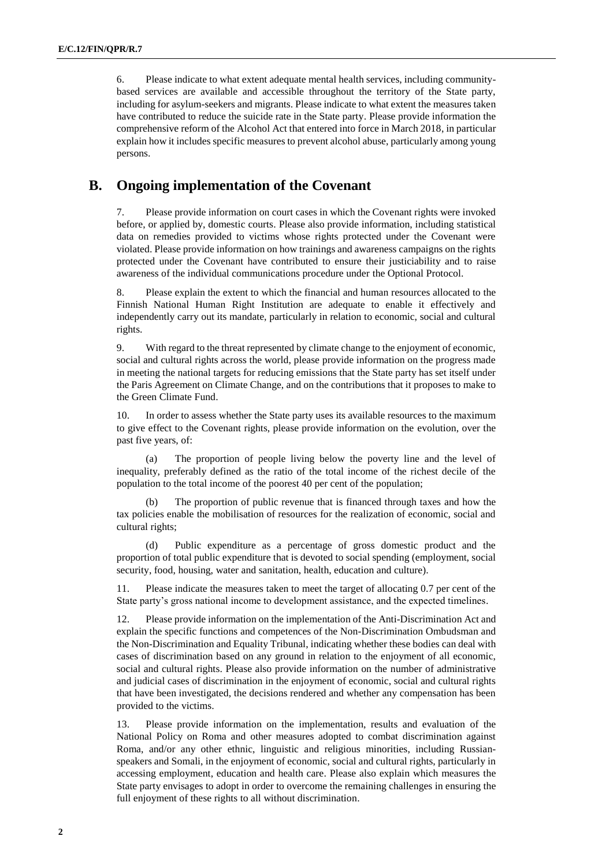6. Please indicate to what extent adequate mental health services, including communitybased services are available and accessible throughout the territory of the State party, including for asylum-seekers and migrants. Please indicate to what extent the measures taken have contributed to reduce the suicide rate in the State party. Please provide information the comprehensive reform of the Alcohol Act that entered into force in March 2018, in particular explain how it includes specific measures to prevent alcohol abuse, particularly among young persons.

#### **B. Ongoing implementation of the Covenant**

7. Please provide information on court cases in which the Covenant rights were invoked before, or applied by, domestic courts. Please also provide information, including statistical data on remedies provided to victims whose rights protected under the Covenant were violated. Please provide information on how trainings and awareness campaigns on the rights protected under the Covenant have contributed to ensure their justiciability and to raise awareness of the individual communications procedure under the Optional Protocol.

8. Please explain the extent to which the financial and human resources allocated to the Finnish National Human Right Institution are adequate to enable it effectively and independently carry out its mandate, particularly in relation to economic, social and cultural rights.

9. With regard to the threat represented by climate change to the enjoyment of economic, social and cultural rights across the world, please provide information on the progress made in meeting the national targets for reducing emissions that the State party has set itself under the Paris Agreement on Climate Change, and on the contributions that it proposes to make to the Green Climate Fund.

In order to assess whether the State party uses its available resources to the maximum to give effect to the Covenant rights, please provide information on the evolution, over the past five years, of:

The proportion of people living below the poverty line and the level of inequality, preferably defined as the ratio of the total income of the richest decile of the population to the total income of the poorest 40 per cent of the population;

The proportion of public revenue that is financed through taxes and how the tax policies enable the mobilisation of resources for the realization of economic, social and cultural rights;

(d) Public expenditure as a percentage of gross domestic product and the proportion of total public expenditure that is devoted to social spending (employment, social security, food, housing, water and sanitation, health, education and culture).

11. Please indicate the measures taken to meet the target of allocating 0.7 per cent of the State party's gross national income to development assistance, and the expected timelines.

12. Please provide information on the implementation of the Anti-Discrimination Act and explain the specific functions and competences of the Non-Discrimination Ombudsman and the Non-Discrimination and Equality Tribunal, indicating whether these bodies can deal with cases of discrimination based on any ground in relation to the enjoyment of all economic, social and cultural rights. Please also provide information on the number of administrative and judicial cases of discrimination in the enjoyment of economic, social and cultural rights that have been investigated, the decisions rendered and whether any compensation has been provided to the victims.

13. Please provide information on the implementation, results and evaluation of the National Policy on Roma and other measures adopted to combat discrimination against Roma, and/or any other ethnic, linguistic and religious minorities, including Russianspeakers and Somali, in the enjoyment of economic, social and cultural rights, particularly in accessing employment, education and health care. Please also explain which measures the State party envisages to adopt in order to overcome the remaining challenges in ensuring the full enjoyment of these rights to all without discrimination.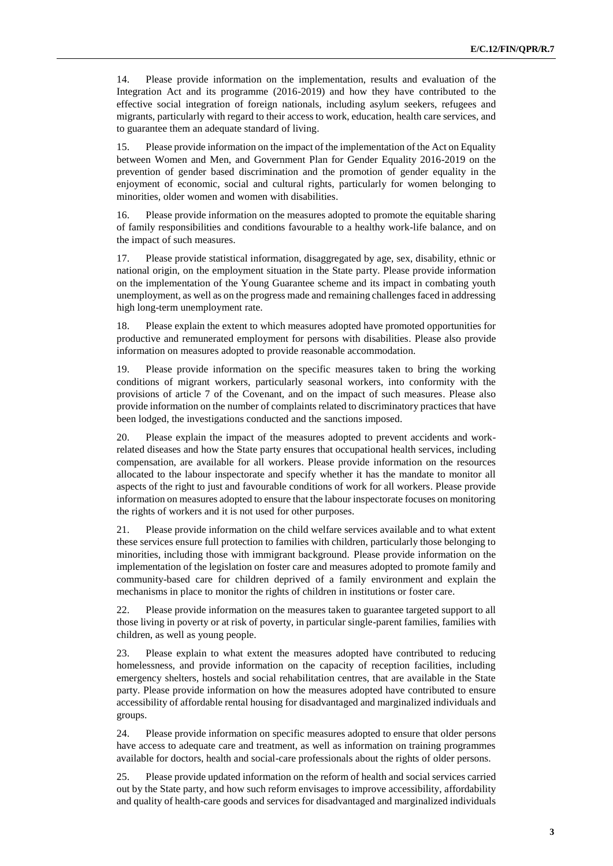14. Please provide information on the implementation, results and evaluation of the Integration Act and its programme (2016-2019) and how they have contributed to the effective social integration of foreign nationals, including asylum seekers, refugees and migrants, particularly with regard to their access to work, education, health care services, and to guarantee them an adequate standard of living.

15. Please provide information on the impact of the implementation of the Act on Equality between Women and Men, and Government Plan for Gender Equality 2016-2019 on the prevention of gender based discrimination and the promotion of gender equality in the enjoyment of economic, social and cultural rights, particularly for women belonging to minorities, older women and women with disabilities.

16. Please provide information on the measures adopted to promote the equitable sharing of family responsibilities and conditions favourable to a healthy work-life balance, and on the impact of such measures.

17. Please provide statistical information, disaggregated by age, sex, disability, ethnic or national origin, on the employment situation in the State party. Please provide information on the implementation of the Young Guarantee scheme and its impact in combating youth unemployment, as well as on the progress made and remaining challenges faced in addressing high long-term unemployment rate.

18. Please explain the extent to which measures adopted have promoted opportunities for productive and remunerated employment for persons with disabilities. Please also provide information on measures adopted to provide reasonable accommodation.

19. Please provide information on the specific measures taken to bring the working conditions of migrant workers, particularly seasonal workers, into conformity with the provisions of article 7 of the Covenant, and on the impact of such measures. Please also provide information on the number of complaints related to discriminatory practices that have been lodged, the investigations conducted and the sanctions imposed.

20. Please explain the impact of the measures adopted to prevent accidents and workrelated diseases and how the State party ensures that occupational health services, including compensation, are available for all workers. Please provide information on the resources allocated to the labour inspectorate and specify whether it has the mandate to monitor all aspects of the right to just and favourable conditions of work for all workers. Please provide information on measures adopted to ensure that the labour inspectorate focuses on monitoring the rights of workers and it is not used for other purposes.

21. Please provide information on the child welfare services available and to what extent these services ensure full protection to families with children, particularly those belonging to minorities, including those with immigrant background. Please provide information on the implementation of the legislation on foster care and measures adopted to promote family and community-based care for children deprived of a family environment and explain the mechanisms in place to monitor the rights of children in institutions or foster care.

22. Please provide information on the measures taken to guarantee targeted support to all those living in poverty or at risk of poverty, in particular single-parent families, families with children, as well as young people.

23. Please explain to what extent the measures adopted have contributed to reducing homelessness, and provide information on the capacity of reception facilities, including emergency shelters, hostels and social rehabilitation centres, that are available in the State party. Please provide information on how the measures adopted have contributed to ensure accessibility of affordable rental housing for disadvantaged and marginalized individuals and groups.

24. Please provide information on specific measures adopted to ensure that older persons have access to adequate care and treatment, as well as information on training programmes available for doctors, health and social-care professionals about the rights of older persons.

25. Please provide updated information on the reform of health and social services carried out by the State party, and how such reform envisages to improve accessibility, affordability and quality of health-care goods and services for disadvantaged and marginalized individuals